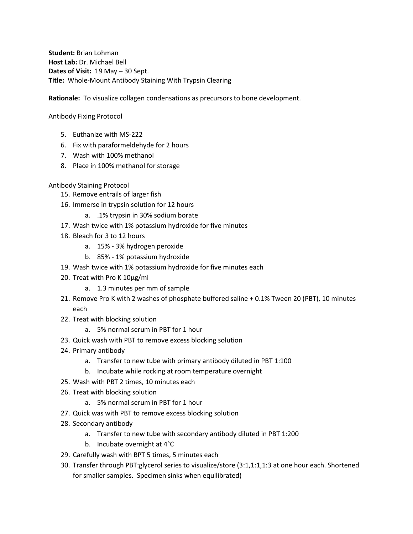**Student:** Brian Lohman **Host Lab:** Dr. Michael Bell **Dates of Visit:** 19 May – 30 Sept. **Title:** Whole-Mount Antibody Staining With Trypsin Clearing

**Rationale:** To visualize collagen condensations as precursors to bone development.

## Antibody Fixing Protocol

- 5. Euthanize with MS-222
- 6. Fix with paraformeldehyde for 2 hours
- 7. Wash with 100% methanol
- 8. Place in 100% methanol for storage

## Antibody Staining Protocol

- 15. Remove entrails of larger fish
- 16. Immerse in trypsin solution for 12 hours
	- a. .1% trypsin in 30% sodium borate
- 17. Wash twice with 1% potassium hydroxide for five minutes
- 18. Bleach for 3 to 12 hours
	- a. 15% 3% hydrogen peroxide
	- b. 85% 1% potassium hydroxide
- 19. Wash twice with 1% potassium hydroxide for five minutes each
- 20. Treat with Pro K 10µg/ml
	- a. 1.3 minutes per mm of sample
- 21. Remove Pro K with 2 washes of phosphate buffered saline + 0.1% Tween 20 (PBT), 10 minutes each
- 22. Treat with blocking solution
	- a. 5% normal serum in PBT for 1 hour
- 23. Quick wash with PBT to remove excess blocking solution
- 24. Primary antibody
	- a. Transfer to new tube with primary antibody diluted in PBT 1:100
	- b. Incubate while rocking at room temperature overnight
- 25. Wash with PBT 2 times, 10 minutes each
- 26. Treat with blocking solution
	- a. 5% normal serum in PBT for 1 hour
- 27. Quick was with PBT to remove excess blocking solution
- 28. Secondary antibody
	- a. Transfer to new tube with secondary antibody diluted in PBT 1:200
	- b. Incubate overnight at 4°C
- 29. Carefully wash with BPT 5 times, 5 minutes each
- 30. Transfer through PBT:glycerol series to visualize/store (3:1,1:1,1:3 at one hour each. Shortened for smaller samples. Specimen sinks when equilibrated)